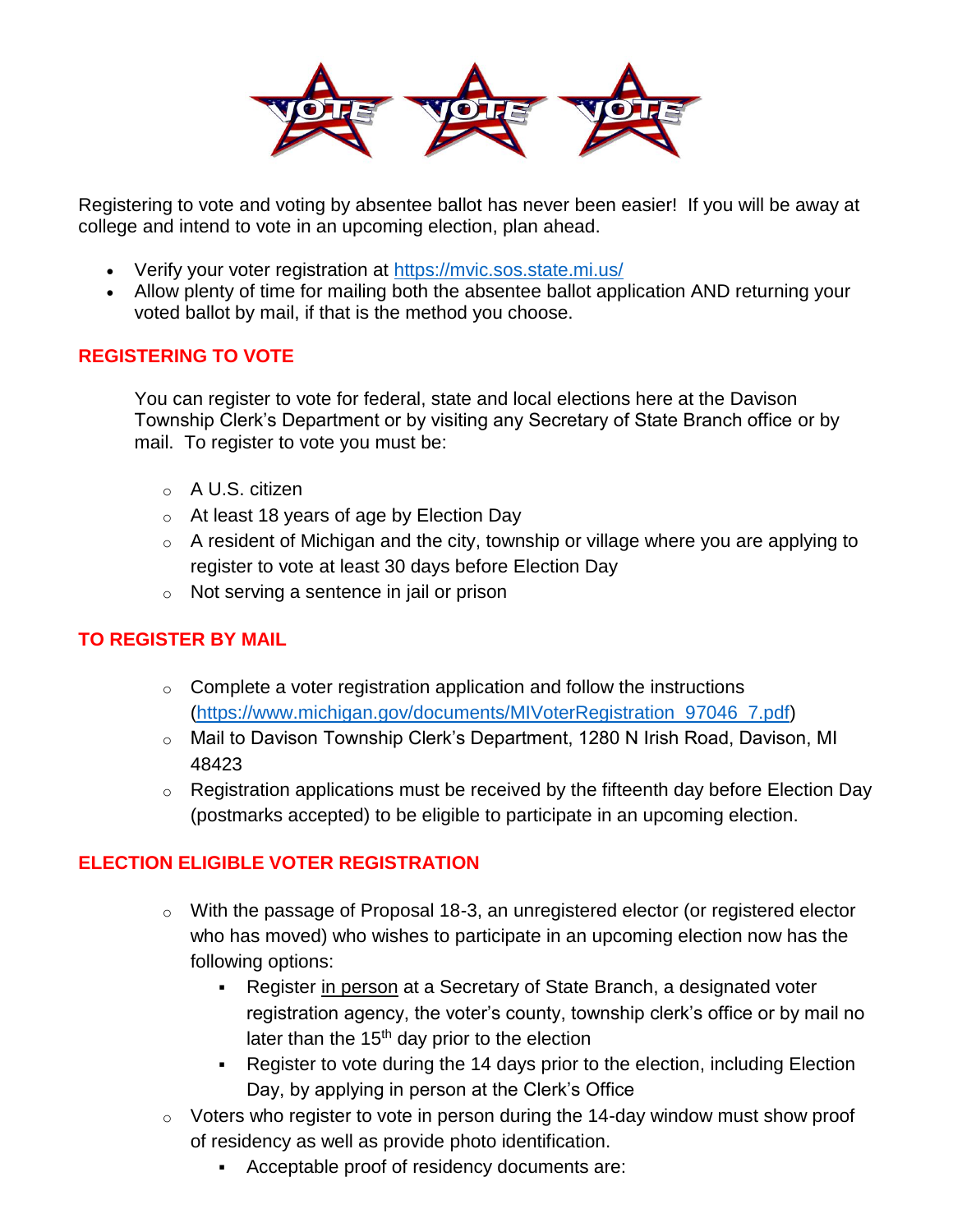

Registering to vote and voting [by abse](https://creativecommons.org/licenses/by-sa/3.0/)ntee ballot [has nev](https://creativecommons.org/licenses/by-sa/3.0/)er been ea[sier! If](https://creativecommons.org/licenses/by-sa/3.0/) you will be away at college and intend to [vo](https://creativecommons.org/licenses/by-sa/3.0/)te in an upcomi[ng](https://creativecommons.org/licenses/by-sa/3.0/) election, plan a[hea](https://creativecommons.org/licenses/by-sa/3.0/)d.

- Verify your voter registration at<https://mvic.sos.state.mi.us/>
- Allow plenty of time for mailing both the absentee ballot application AND returning your voted ballot by mail, if that is the method you choose.

## **REGISTERING TO VOTE**

You can register to vote for federal, state and local elections here at the Davison Township Clerk's Department or by visiting any Secretary of State Branch office or by mail. To register to vote you must be:

- o A U.S. citizen
- o At least 18 years of age by Election Day
- $\circ$  A resident of Michigan and the city, township or village where you are applying to register to vote at least 30 days before Election Day
- $\circ$  Not serving a sentence in jail or prison

## **TO REGISTER BY MAIL**

- $\circ$  Complete a voter registration application and follow the instructions [\(https://www.michigan.gov/documents/MIVoterRegistration\\_97046\\_7.pdf\)](https://www.michigan.gov/documents/MIVoterRegistration_97046_7.pdf)
- o Mail to Davison Township Clerk's Department, 1280 N Irish Road, Davison, MI 48423
- $\circ$  Registration applications must be received by the fifteenth day before Election Day (postmarks accepted) to be eligible to participate in an upcoming election.

## **ELECTION ELIGIBLE VOTER REGISTRATION**

- $\circ$  With the passage of Proposal 18-3, an unregistered elector (or registered elector who has moved) who wishes to participate in an upcoming election now has the following options:
	- Register in person at a Secretary of State Branch, a designated voter registration agency, the voter's county, township clerk's office or by mail no later than the  $15<sup>th</sup>$  day prior to the election
	- Register to vote during the 14 days prior to the election, including Election Day, by applying in person at the Clerk's Office
- $\circ$  Voters who register to vote in person during the 14-day window must show proof of residency as well as provide photo identification.
	- Acceptable proof of residency documents are: